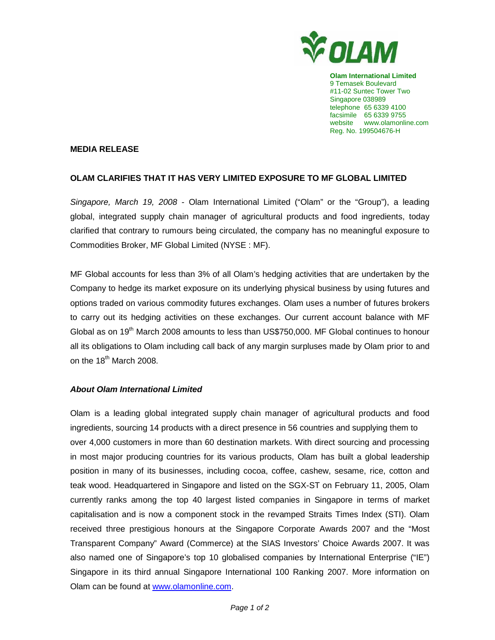

**Olam International Limited**  9 Temasek Boulevard #11-02 Suntec Tower Two Singapore 038989 telephone 65 6339 4100 facsimile 65 6339 9755 website www.olamonline.com Reg. No. 199504676-H

## **MEDIA RELEASE**

## **OLAM CLARIFIES THAT IT HAS VERY LIMITED EXPOSURE TO MF GLOBAL LIMITED**

Singapore, March 19, 2008 - Olam International Limited ("Olam" or the "Group"), a leading global, integrated supply chain manager of agricultural products and food ingredients, today clarified that contrary to rumours being circulated, the company has no meaningful exposure to Commodities Broker, MF Global Limited (NYSE : MF).

MF Global accounts for less than 3% of all Olam's hedging activities that are undertaken by the Company to hedge its market exposure on its underlying physical business by using futures and options traded on various commodity futures exchanges. Olam uses a number of futures brokers to carry out its hedging activities on these exchanges. Our current account balance with MF Global as on 19<sup>th</sup> March 2008 amounts to less than US\$750,000. MF Global continues to honour all its obligations to Olam including call back of any margin surpluses made by Olam prior to and on the  $18<sup>th</sup>$  March 2008.

## **About Olam International Limited**

Olam is a leading global integrated supply chain manager of agricultural products and food ingredients, sourcing 14 products with a direct presence in 56 countries and supplying them to over 4,000 customers in more than 60 destination markets. With direct sourcing and processing in most major producing countries for its various products, Olam has built a global leadership position in many of its businesses, including cocoa, coffee, cashew, sesame, rice, cotton and teak wood. Headquartered in Singapore and listed on the SGX-ST on February 11, 2005, Olam currently ranks among the top 40 largest listed companies in Singapore in terms of market capitalisation and is now a component stock in the revamped Straits Times Index (STI). Olam received three prestigious honours at the Singapore Corporate Awards 2007 and the "Most Transparent Company" Award (Commerce) at the SIAS Investors' Choice Awards 2007. It was also named one of Singapore's top 10 globalised companies by International Enterprise ("IE") Singapore in its third annual Singapore International 100 Ranking 2007. More information on Olam can be found at www.olamonline.com.